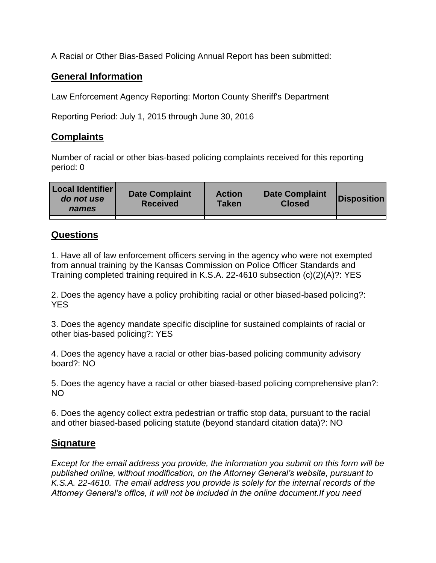A Racial or Other Bias-Based Policing Annual Report has been submitted:

## **General Information**

Law Enforcement Agency Reporting: Morton County Sheriff's Department

Reporting Period: July 1, 2015 through June 30, 2016

## **Complaints**

Number of racial or other bias-based policing complaints received for this reporting period: 0

| <b>Local Identifier</b><br>do not use<br>names | <b>Date Complaint</b><br><b>Received</b> | <b>Action</b><br><b>Taken</b> | <b>Date Complaint</b><br><b>Closed</b> | Disposition |
|------------------------------------------------|------------------------------------------|-------------------------------|----------------------------------------|-------------|
|                                                |                                          |                               |                                        |             |

## **Questions**

1. Have all of law enforcement officers serving in the agency who were not exempted from annual training by the Kansas Commission on Police Officer Standards and Training completed training required in K.S.A. 22-4610 subsection (c)(2)(A)?: YES

2. Does the agency have a policy prohibiting racial or other biased-based policing?: YES

3. Does the agency mandate specific discipline for sustained complaints of racial or other bias-based policing?: YES

4. Does the agency have a racial or other bias-based policing community advisory board?: NO

5. Does the agency have a racial or other biased-based policing comprehensive plan?: NO

6. Does the agency collect extra pedestrian or traffic stop data, pursuant to the racial and other biased-based policing statute (beyond standard citation data)?: NO

## **Signature**

*Except for the email address you provide, the information you submit on this form will be published online, without modification, on the Attorney General's website, pursuant to K.S.A. 22-4610. The email address you provide is solely for the internal records of the Attorney General's office, it will not be included in the online document.If you need*